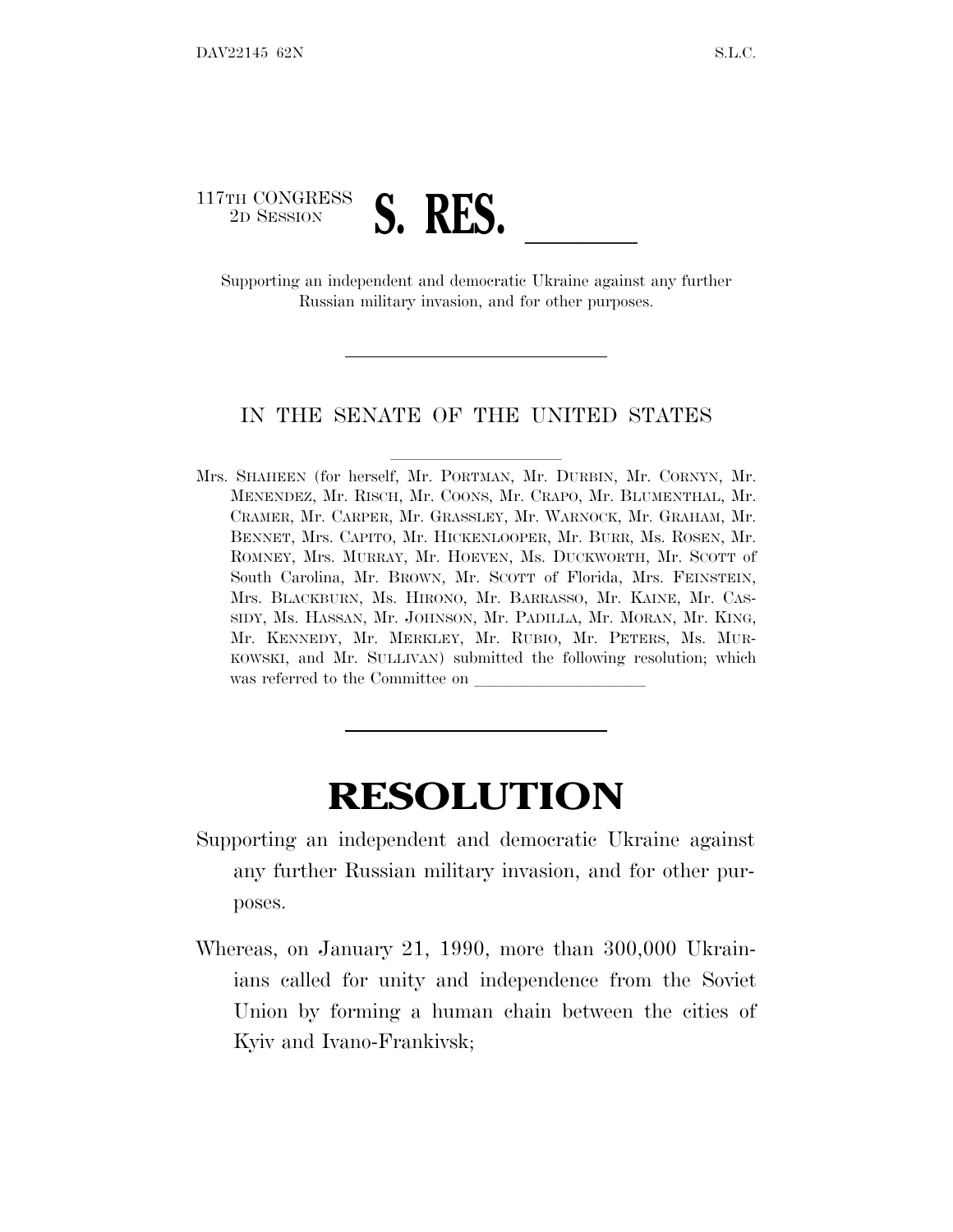# 117TH CONGRESS TH CONGRESS **S. RES.**<br>
Supporting an independent and democratic Ukraine against any further

Russian military invasion, and for other purposes.

#### IN THE SENATE OF THE UNITED STATES

Mrs. SHAHEEN (for herself, Mr. PORTMAN, Mr. DURBIN, Mr. CORNYN, Mr. MENENDEZ, Mr. RISCH, Mr. COONS, Mr. CRAPO, Mr. BLUMENTHAL, Mr. CRAMER, Mr. CARPER, Mr. GRASSLEY, Mr. WARNOCK, Mr. GRAHAM, Mr. BENNET, Mrs. CAPITO, Mr. HICKENLOOPER, Mr. BURR, Ms. ROSEN, Mr. ROMNEY, Mrs. MURRAY, Mr. HOEVEN, Ms. DUCKWORTH, Mr. SCOTT of South Carolina, Mr. BROWN, Mr. SCOTT of Florida, Mrs. FEINSTEIN, Mrs. BLACKBURN, Ms. HIRONO, Mr. BARRASSO, Mr. KAINE, Mr. CAS-SIDY, Ms. HASSAN, Mr. JOHNSON, Mr. PADILLA, Mr. MORAN, Mr. KING, Mr. KENNEDY, Mr. MERKLEY, Mr. RUBIO, Mr. PETERS, Ms. MUR-KOWSKI, and Mr. SULLIVAN) submitted the following resolution; which was referred to the Committee on

## **RESOLUTION**

- Supporting an independent and democratic Ukraine against any further Russian military invasion, and for other purposes.
- Whereas, on January 21, 1990, more than 300,000 Ukrainians called for unity and independence from the Soviet Union by forming a human chain between the cities of Kyiv and Ivano-Frankivsk;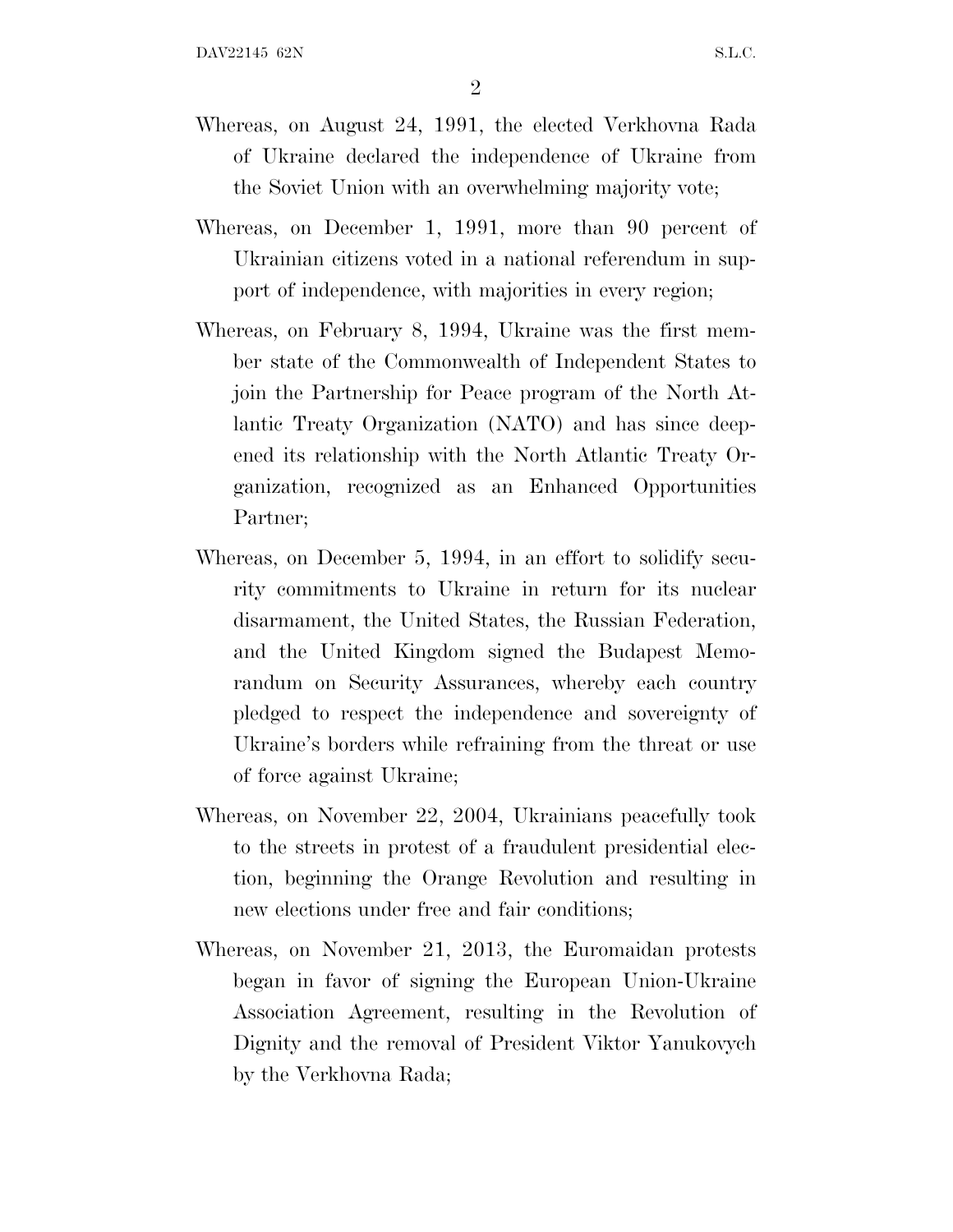2

- Whereas, on August 24, 1991, the elected Verkhovna Rada of Ukraine declared the independence of Ukraine from the Soviet Union with an overwhelming majority vote;
- Whereas, on December 1, 1991, more than 90 percent of Ukrainian citizens voted in a national referendum in support of independence, with majorities in every region;
- Whereas, on February 8, 1994, Ukraine was the first member state of the Commonwealth of Independent States to join the Partnership for Peace program of the North Atlantic Treaty Organization (NATO) and has since deepened its relationship with the North Atlantic Treaty Organization, recognized as an Enhanced Opportunities Partner;
- Whereas, on December 5, 1994, in an effort to solidify security commitments to Ukraine in return for its nuclear disarmament, the United States, the Russian Federation, and the United Kingdom signed the Budapest Memorandum on Security Assurances, whereby each country pledged to respect the independence and sovereignty of Ukraine's borders while refraining from the threat or use of force against Ukraine;
- Whereas, on November 22, 2004, Ukrainians peacefully took to the streets in protest of a fraudulent presidential election, beginning the Orange Revolution and resulting in new elections under free and fair conditions;
- Whereas, on November 21, 2013, the Euromaidan protests began in favor of signing the European Union-Ukraine Association Agreement, resulting in the Revolution of Dignity and the removal of President Viktor Yanukovych by the Verkhovna Rada;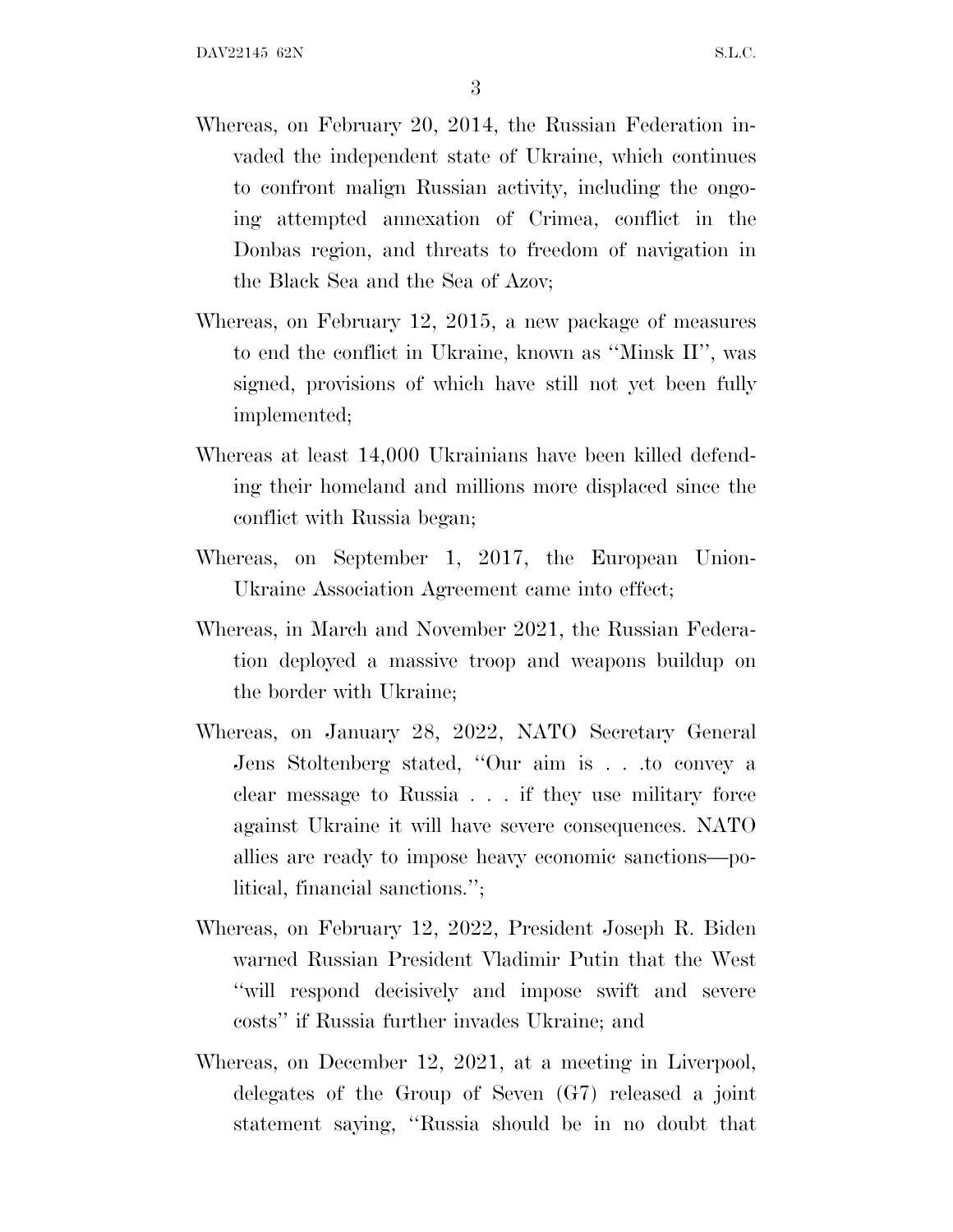- Whereas, on February 20, 2014, the Russian Federation invaded the independent state of Ukraine, which continues to confront malign Russian activity, including the ongoing attempted annexation of Crimea, conflict in the Donbas region, and threats to freedom of navigation in the Black Sea and the Sea of Azov;
- Whereas, on February 12, 2015, a new package of measures to end the conflict in Ukraine, known as ''Minsk II'', was signed, provisions of which have still not yet been fully implemented;
- Whereas at least 14,000 Ukrainians have been killed defending their homeland and millions more displaced since the conflict with Russia began;
- Whereas, on September 1, 2017, the European Union-Ukraine Association Agreement came into effect;
- Whereas, in March and November 2021, the Russian Federation deployed a massive troop and weapons buildup on the border with Ukraine;
- Whereas, on January 28, 2022, NATO Secretary General Jens Stoltenberg stated, ''Our aim is . . .to convey a clear message to Russia . . . if they use military force against Ukraine it will have severe consequences. NATO allies are ready to impose heavy economic sanctions—political, financial sanctions.'';
- Whereas, on February 12, 2022, President Joseph R. Biden warned Russian President Vladimir Putin that the West ''will respond decisively and impose swift and severe costs'' if Russia further invades Ukraine; and
- Whereas, on December 12, 2021, at a meeting in Liverpool, delegates of the Group of Seven (G7) released a joint statement saying, ''Russia should be in no doubt that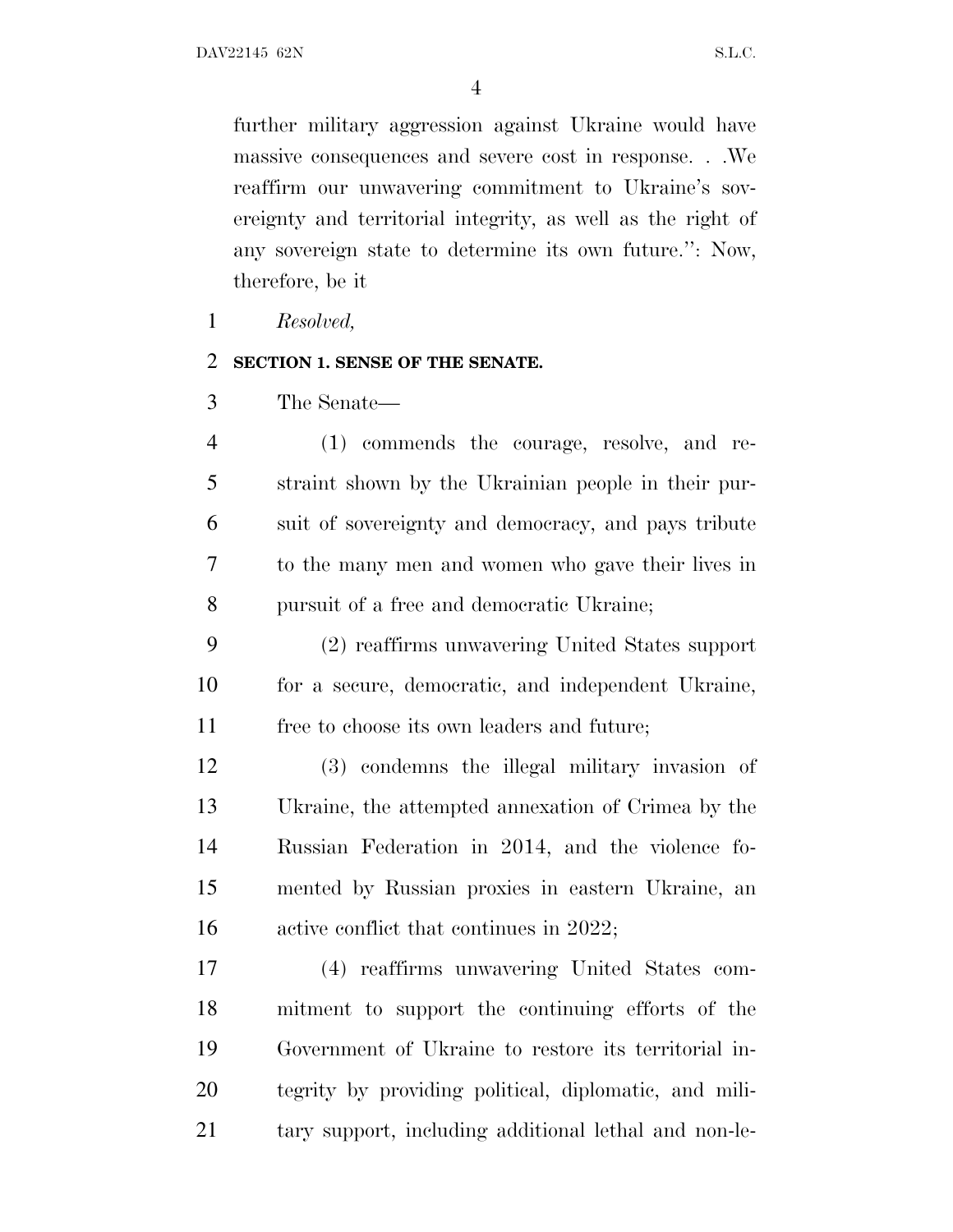further military aggression against Ukraine would have massive consequences and severe cost in response. . .We reaffirm our unwavering commitment to Ukraine's sovereignty and territorial integrity, as well as the right of any sovereign state to determine its own future.'': Now, therefore, be it

*Resolved,*

### **SECTION 1. SENSE OF THE SENATE.**

The Senate—

 (1) commends the courage, resolve, and re- straint shown by the Ukrainian people in their pur- suit of sovereignty and democracy, and pays tribute to the many men and women who gave their lives in pursuit of a free and democratic Ukraine;

 (2) reaffirms unwavering United States support for a secure, democratic, and independent Ukraine, free to choose its own leaders and future;

 (3) condemns the illegal military invasion of Ukraine, the attempted annexation of Crimea by the Russian Federation in 2014, and the violence fo- mented by Russian proxies in eastern Ukraine, an 16 active conflict that continues in 2022;

 (4) reaffirms unwavering United States com- mitment to support the continuing efforts of the Government of Ukraine to restore its territorial in- tegrity by providing political, diplomatic, and mili-tary support, including additional lethal and non-le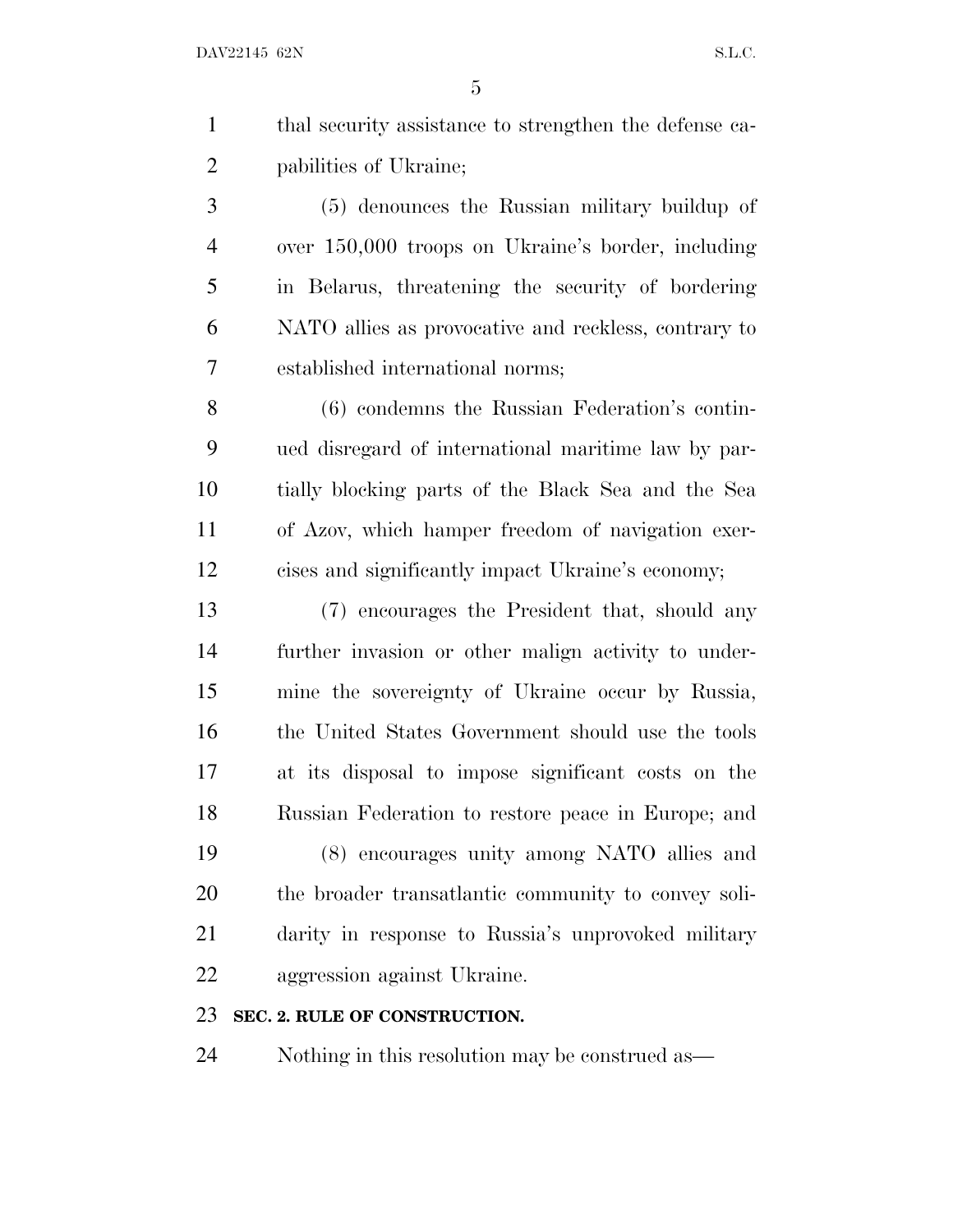|                | thal security assistance to strengthen the defense ca- |
|----------------|--------------------------------------------------------|
| 2              | pabilities of Ukraine;                                 |
| 3              | (5) denounces the Russian military buildup of          |
| $\overline{4}$ | over 150,000 troops on Ukraine's border, including     |

 in Belarus, threatening the security of bordering NATO allies as provocative and reckless, contrary to established international norms;

 (6) condemns the Russian Federation's contin- ued disregard of international maritime law by par- tially blocking parts of the Black Sea and the Sea of Azov, which hamper freedom of navigation exer-cises and significantly impact Ukraine's economy;

 (7) encourages the President that, should any further invasion or other malign activity to under- mine the sovereignty of Ukraine occur by Russia, the United States Government should use the tools at its disposal to impose significant costs on the Russian Federation to restore peace in Europe; and (8) encourages unity among NATO allies and the broader transatlantic community to convey soli- darity in response to Russia's unprovoked military aggression against Ukraine.

### **SEC. 2. RULE OF CONSTRUCTION.**

Nothing in this resolution may be construed as—